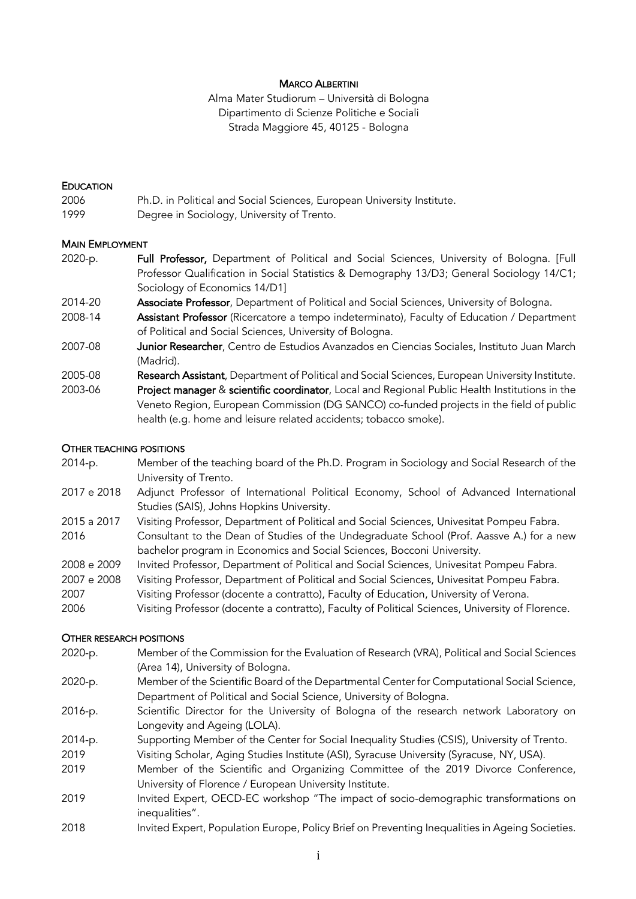### MARCO ALBERTINI

Alma Mater Studiorum – Università di Bologna Dipartimento di Scienze Politiche e Sociali Strada Maggiore 45, 40125 - Bologna

#### **EDUCATION**

- 2006 Ph.D. in Political and Social Sciences, European University Institute.
- 1999 Degree in Sociology, University of Trento.

# MAIN EMPLOYMENT

- 2020-p. **Full Professor,** Department of Political and Social Sciences, University of Bologna. [Full Professor Qualification in Social Statistics & Demography 13/D3; General Sociology 14/C1; Sociology of Economics 14/D1]
- 2014-20 Associate Professor, Department of Political and Social Sciences, University of Bologna.
- 2008-14 **Assistant Professor** (Ricercatore a tempo indeterminato), Faculty of Education / Department of Political and Social Sciences, University of Bologna.
- 2007-08 **Junior Researcher**, Centro de Estudios Avanzados en Ciencias Sociales, Instituto Juan March (Madrid).
- 2005-08 Research Assistant, Department of Political and Social Sciences, European University Institute.
- 2003-06 Project manager & scientific coordinator, Local and Regional Public Health Institutions in the Veneto Region, European Commission (DG SANCO) co-funded projects in the field of public health (e.g. home and leisure related accidents; tobacco smoke).

#### OTHER TEACHING POSITIONS

- 2014-p. Member of the teaching board of the Ph.D. Program in Sociology and Social Research of the University of Trento.
- 2017 e 2018 Adjunct Professor of International Political Economy, School of Advanced International Studies (SAIS), Johns Hopkins University.
- 2015 a 2017 Visiting Professor, Department of Political and Social Sciences, Univesitat Pompeu Fabra.
- 2016 Consultant to the Dean of Studies of the Undegraduate School (Prof. Aassve A.) for a new bachelor program in Economics and Social Sciences, Bocconi University.
- 2008 e 2009 Invited Professor, Department of Political and Social Sciences, Univesitat Pompeu Fabra.
- 2007 e 2008 Visiting Professor, Department of Political and Social Sciences, Univesitat Pompeu Fabra.
- 2007 Visiting Professor (docente a contratto), Faculty of Education, University of Verona.
- 2006 Visiting Professor (docente a contratto), Faculty of Political Sciences, University of Florence.

### OTHER RESEARCH POSITIONS

- 2020-p. Member of the Commission for the Evaluation of Research (VRA), Political and Social Sciences (Area 14), University of Bologna.
- 2020-p. Member of the Scientific Board of the Departmental Center for Computational Social Science, Department of Political and Social Science, University of Bologna.
- 2016-p. Scientific Director for the University of Bologna of the research network Laboratory on Longevity and Ageing (LOLA).
- 2014-p. Supporting Member of the Center for Social Inequality Studies (CSIS), University of Trento.
- 2019 Visiting Scholar, Aging Studies Institute (ASI), Syracuse University (Syracuse, NY, USA).
- 2019 Member of the Scientific and Organizing Committee of the 2019 Divorce Conference, University of Florence / European University Institute.
- 2019 Invited Expert, OECD-EC workshop "The impact of socio-demographic transformations on inequalities".
- 2018 Invited Expert, Population Europe, Policy Brief on Preventing Inequalities in Ageing Societies.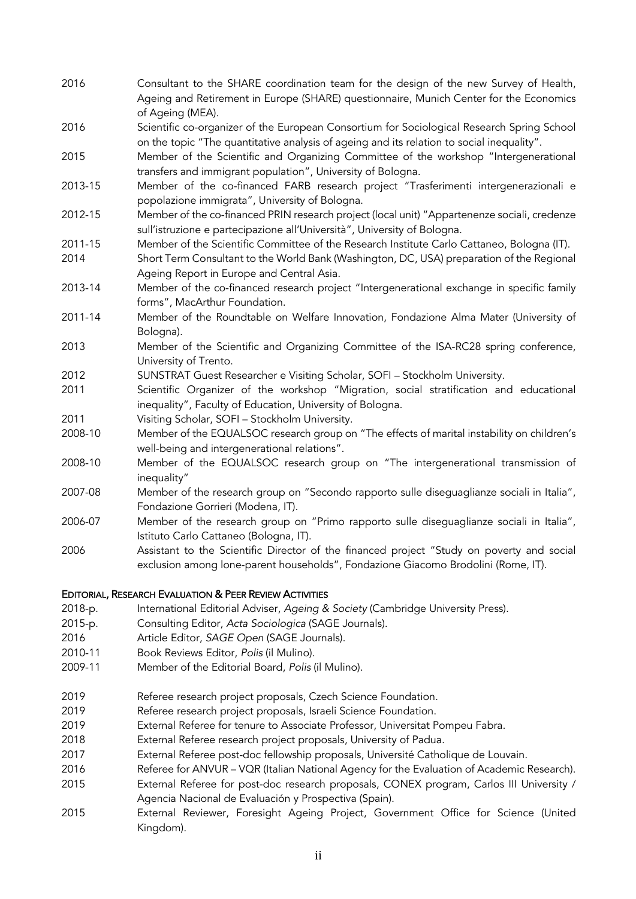- 2016 Consultant to the SHARE coordination team for the design of the new Survey of Health, Ageing and Retirement in Europe (SHARE) questionnaire, Munich Center for the Economics of Ageing (MEA).
- 2016 Scientific co-organizer of the European Consortium for Sociological Research Spring School on the topic "The quantitative analysis of ageing and its relation to social inequality".
- 2015 Member of the Scientific and Organizing Committee of the workshop "Intergenerational transfers and immigrant population", University of Bologna.
- 2013-15 Member of the co-financed FARB research project "Trasferimenti intergenerazionali e popolazione immigrata", University of Bologna.
- 2012-15 Member of the co-financed PRIN research project (local unit) "Appartenenze sociali, credenze sull'istruzione e partecipazione all'Università", University of Bologna.
- 2011-15 Member of the Scientific Committee of the Research Institute Carlo Cattaneo, Bologna (IT).
- 2014 Short Term Consultant to the World Bank (Washington, DC, USA) preparation of the Regional Ageing Report in Europe and Central Asia.
- 2013-14 Member of the co-financed research project "Intergenerational exchange in specific family forms", MacArthur Foundation.
- 2011-14 Member of the Roundtable on Welfare Innovation, Fondazione Alma Mater (University of Bologna).
- 2013 Member of the Scientific and Organizing Committee of the ISA-RC28 spring conference, University of Trento.
- 2012 SUNSTRAT Guest Researcher e Visiting Scholar, SOFI Stockholm University.
- 2011 Scientific Organizer of the workshop "Migration, social stratification and educational inequality", Faculty of Education, University of Bologna.
- 2011 Visiting Scholar, SOFI Stockholm University.
- 2008-10 Member of the EQUALSOC research group on "The effects of marital instability on children's well-being and intergenerational relations".
- 2008-10 Member of the EQUALSOC research group on "The intergenerational transmission of inequality"
- 2007-08 Member of the research group on "Secondo rapporto sulle diseguaglianze sociali in Italia", Fondazione Gorrieri (Modena, IT).
- 2006-07 Member of the research group on "Primo rapporto sulle diseguaglianze sociali in Italia", Istituto Carlo Cattaneo (Bologna, IT).
- 2006 Assistant to the Scientific Director of the financed project "Study on poverty and social exclusion among lone-parent households", Fondazione Giacomo Brodolini (Rome, IT).

# EDITORIAL, RESEARCH EVALUATION & PEER REVIEW ACTIVITIES

- 2018-p. International Editorial Adviser, *Ageing & Society* (Cambridge University Press).
- 2015-p. Consulting Editor, *Acta Sociologica* (SAGE Journals).
- 2016 Article Editor, *SAGE Open* (SAGE Journals).
- 2010-11 Book Reviews Editor, *Polis* (il Mulino).
- 2009-11 Member of the Editorial Board, *Polis* (il Mulino).
- 2019 Referee research project proposals, Czech Science Foundation.
- 2019 Referee research project proposals, Israeli Science Foundation.
- 2019 External Referee for tenure to Associate Professor, Universitat Pompeu Fabra.
- 2018 External Referee research project proposals, University of Padua.
- 2017 External Referee post-doc fellowship proposals, Université Catholique de Louvain.
- 2016 Referee for ANVUR VQR (Italian National Agency for the Evaluation of Academic Research).
- 2015 External Referee for post-doc research proposals, CONEX program, Carlos III University / Agencia Nacional de Evaluación y Prospectiva (Spain).
- 2015 External Reviewer, Foresight Ageing Project, Government Office for Science (United Kingdom).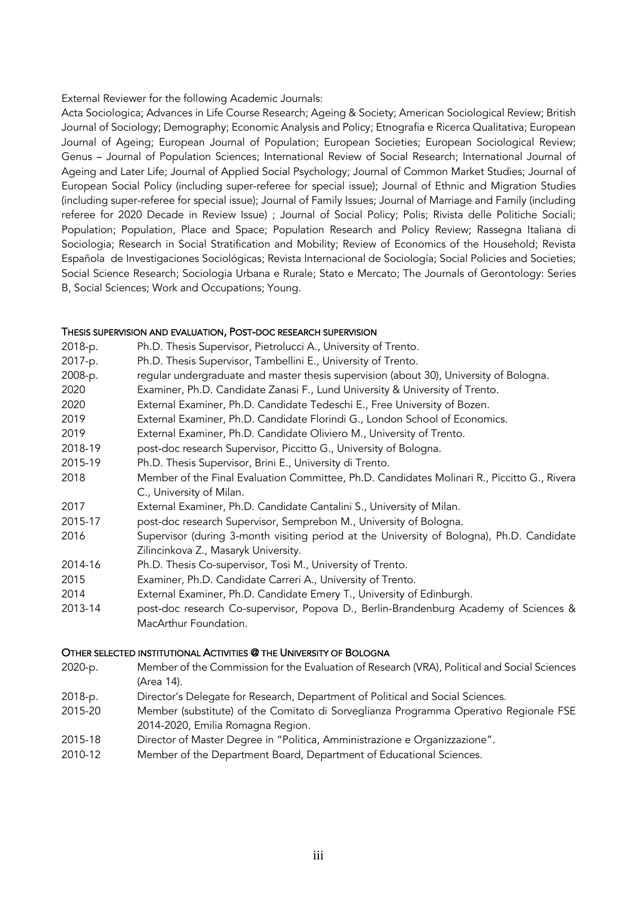External Reviewer for the following Academic Journals:

Acta Sociologica; Advances in Life Course Research; Ageing & Society; American Sociological Review; British Journal of Sociology; Demography; Economic Analysis and Policy; Etnografia e Ricerca Qualitativa; European Journal of Ageing; European Journal of Population; European Societies; European Sociological Review; Genus – Journal of Population Sciences; International Review of Social Research; International Journal of Ageing and Later Life; Journal of Applied Social Psychology; Journal of Common Market Studies; Journal of European Social Policy (including super-referee for special issue); Journal of Ethnic and Migration Studies (including super-referee for special issue); Journal of Family Issues; Journal of Marriage and Family (including referee for 2020 Decade in Review Issue) ; Journal of Social Policy; Polis; Rivista delle Politiche Sociali; Population; Population, Place and Space; Population Research and Policy Review; Rassegna Italiana di Sociologia; Research in Social Stratification and Mobility; Review of Economics of the Household; Revista Española de Investigaciones Sociológicas; Revista Internacional de Sociología; Social Policies and Societies; Social Science Research; Sociologia Urbana e Rurale; Stato e Mercato; The Journals of Gerontology: Series B, Social Sciences; Work and Occupations; Young.

### THESIS SUPERVISION AND EVALUATION, POST-DOC RESEARCH SUPERVISION

|           | THESIS SOFERVISION AND EVALUATION, FOST-DOC RESEARCH SOFERVISION                                                        |  |
|-----------|-------------------------------------------------------------------------------------------------------------------------|--|
| 2018-p.   | Ph.D. Thesis Supervisor, Pietrolucci A., University of Trento.                                                          |  |
| 2017-p.   | Ph.D. Thesis Supervisor, Tambellini E., University of Trento.                                                           |  |
| 2008-p.   | regular undergraduate and master thesis supervision (about 30), University of Bologna.                                  |  |
| 2020      | Examiner, Ph.D. Candidate Zanasi F., Lund University & University of Trento.                                            |  |
| 2020      | External Examiner, Ph.D. Candidate Tedeschi E., Free University of Bozen.                                               |  |
| 2019      | External Examiner, Ph.D. Candidate Florindi G., London School of Economics.                                             |  |
| 2019      | External Examiner, Ph.D. Candidate Oliviero M., University of Trento.                                                   |  |
| 2018-19   | post-doc research Supervisor, Piccitto G., University of Bologna.                                                       |  |
| 2015-19   | Ph.D. Thesis Supervisor, Brini E., University di Trento.                                                                |  |
| 2018      | Member of the Final Evaluation Committee, Ph.D. Candidates Molinari R., Piccitto G., Rivera<br>C., University of Milan. |  |
| 2017      | External Examiner, Ph.D. Candidate Cantalini S., University of Milan.                                                   |  |
| 2015-17   | post-doc research Supervisor, Semprebon M., University of Bologna.                                                      |  |
| 2016      | Supervisor (during 3-month visiting period at the University of Bologna), Ph.D. Candidate                               |  |
|           | Zilincinkova Z., Masaryk University.                                                                                    |  |
| 2014-16   | Ph.D. Thesis Co-supervisor, Tosi M., University of Trento.                                                              |  |
| 2015      | Examiner, Ph.D. Candidate Carreri A., University of Trento.                                                             |  |
| 2014      | External Examiner, Ph.D. Candidate Emery T., University of Edinburgh.                                                   |  |
| $\bigcap$ | II. IC. IC. NONFOLIA IL (C'O                                                                                            |  |

2013-14 post-doc research Co-supervisor, Popova D., Berlin-Brandenburg Academy of Sciences & MacArthur Foundation.

### OTHER SELECTED INSTITUTIONAL ACTIVITIES @ THE UNIVERSITY OF BOLOGNA

- 2020-p. Member of the Commission for the Evaluation of Research (VRA), Political and Social Sciences (Area 14).
- 2018-p. Director's Delegate for Research, Department of Political and Social Sciences.
- 2015-20 Member (substitute) of the Comitato di Sorveglianza Programma Operativo Regionale FSE 2014-2020, Emilia Romagna Region.
- 2015-18 Director of Master Degree in "Politica, Amministrazione e Organizzazione".
- 2010-12 Member of the Department Board, Department of Educational Sciences.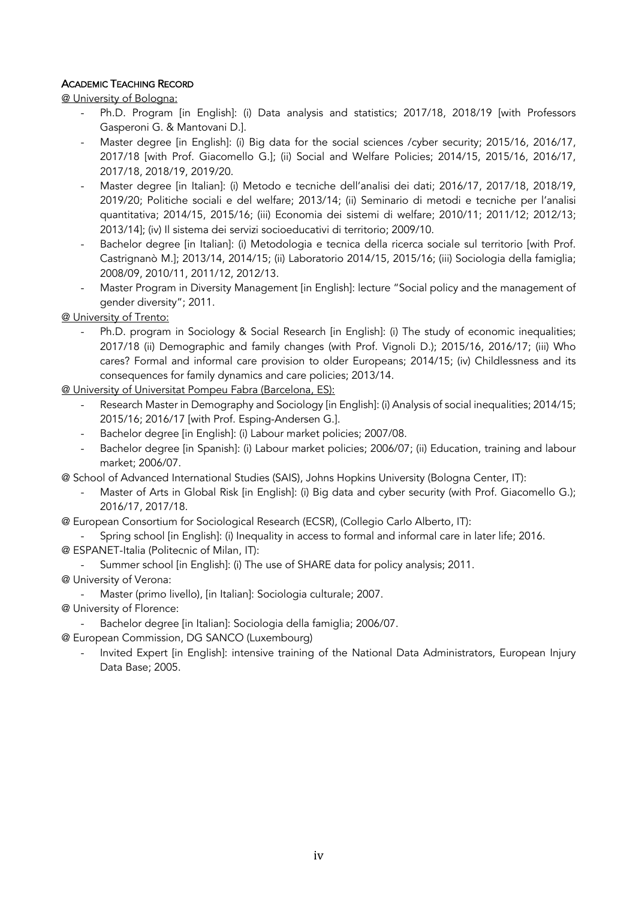# ACADEMIC TEACHING RECORD

@ University of Bologna:

- Ph.D. Program [in English]: (i) Data analysis and statistics; 2017/18, 2018/19 [with Professors Gasperoni G. & Mantovani D.].
- Master degree [in English]: (i) Big data for the social sciences /cyber security; 2015/16, 2016/17, 2017/18 [with Prof. Giacomello G.]; (ii) Social and Welfare Policies; 2014/15, 2015/16, 2016/17, 2017/18, 2018/19, 2019/20.
- Master degree [in Italian]: (i) Metodo e tecniche dell'analisi dei dati; 2016/17, 2017/18, 2018/19, 2019/20; Politiche sociali e del welfare; 2013/14; (ii) Seminario di metodi e tecniche per l'analisi quantitativa; 2014/15, 2015/16; (iii) Economia dei sistemi di welfare; 2010/11; 2011/12; 2012/13; 2013/14]; (iv) Il sistema dei servizi socioeducativi di territorio; 2009/10.
- Bachelor degree [in Italian]: (i) Metodologia e tecnica della ricerca sociale sul territorio [with Prof. Castrignanò M.]; 2013/14, 2014/15; (ii) Laboratorio 2014/15, 2015/16; (iii) Sociologia della famiglia; 2008/09, 2010/11, 2011/12, 2012/13.
- Master Program in Diversity Management [in English]: lecture "Social policy and the management of gender diversity"; 2011.

@ University of Trento:

- Ph.D. program in Sociology & Social Research [in English]: (i) The study of economic inequalities; 2017/18 (ii) Demographic and family changes (with Prof. Vignoli D.); 2015/16, 2016/17; (iii) Who cares? Formal and informal care provision to older Europeans; 2014/15; (iv) Childlessness and its consequences for family dynamics and care policies; 2013/14.

@ University of Universitat Pompeu Fabra (Barcelona, ES):

- Research Master in Demography and Sociology [in English]: (i) Analysis of social inequalities; 2014/15; 2015/16; 2016/17 [with Prof. Esping-Andersen G.].
- Bachelor degree [in English]: (i) Labour market policies; 2007/08.
- Bachelor degree [in Spanish]: (i) Labour market policies; 2006/07; (ii) Education, training and labour market; 2006/07.
- @ School of Advanced International Studies (SAIS), Johns Hopkins University (Bologna Center, IT):
	- Master of Arts in Global Risk [in English]: (i) Big data and cyber security (with Prof. Giacomello G.); 2016/17, 2017/18.
- @ European Consortium for Sociological Research (ECSR), (Collegio Carlo Alberto, IT):

Spring school [in English]: (i) Inequality in access to formal and informal care in later life; 2016. @ ESPANET-Italia (Politecnic of Milan, IT):

- Summer school [in English]: (i) The use of SHARE data for policy analysis; 2011.
- @ University of Verona:
	- Master (primo livello), [in Italian]: Sociologia culturale; 2007.
- @ University of Florence:
	- Bachelor degree [in Italian]: Sociologia della famiglia; 2006/07.
- @ European Commission, DG SANCO (Luxembourg)
	- Invited Expert [in English]: intensive training of the National Data Administrators, European Injury Data Base; 2005.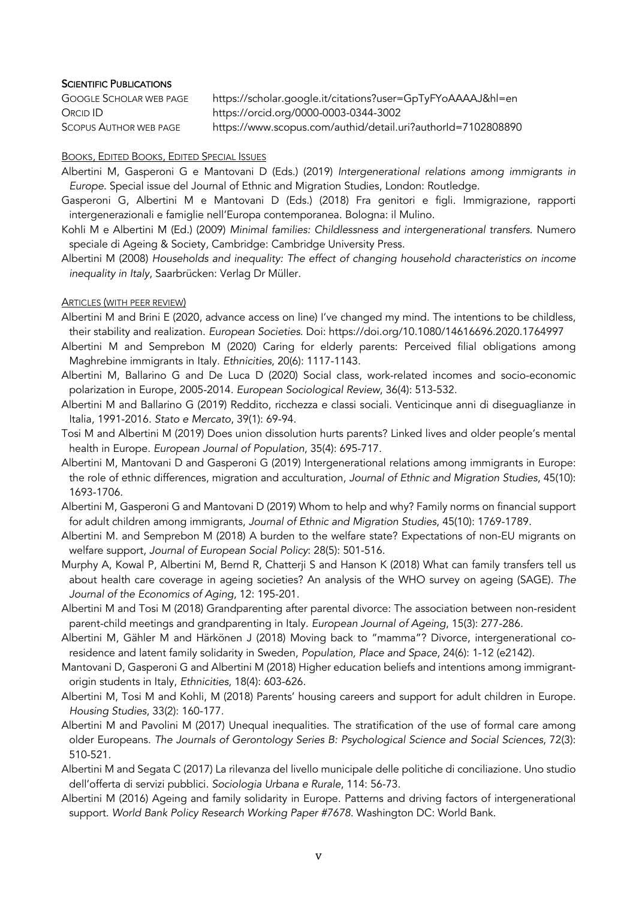### **SCIENTIFIC PUBLICATIONS**

| GOOGLE SCHOLAR WEB PAGE | https://scholar.google.it/citations?user=GpTyFYoAAAAJ&hl=en  |
|-------------------------|--------------------------------------------------------------|
| Orcid ID                | https://orcid.org/0000-0003-0344-3002                        |
| Scopus Author web page  | https://www.scopus.com/authid/detail.uri?authorId=7102808890 |

#### BOOKS, EDITED BOOKS, EDITED SPECIAL ISSUES

- Albertini M, Gasperoni G e Mantovani D (Eds.) (2019) *Intergenerational relations among immigrants in Europe*. Special issue del Journal of Ethnic and Migration Studies, London: Routledge.
- Gasperoni G, Albertini M e Mantovani D (Eds.) (2018) Fra genitori e figli. Immigrazione, rapporti intergenerazionali e famiglie nell'Europa contemporanea. Bologna: il Mulino.
- Kohli M e Albertini M (Ed.) (2009) *Minimal families: Childlessness and intergenerational transfers*. Numero speciale di Ageing & Society, Cambridge: Cambridge University Press.
- Albertini M (2008) *Households and inequality: The effect of changing household characteristics on income inequality in Italy*, Saarbrücken: Verlag Dr Müller.

### ARTICLES (WITH PEER REVIEW)

- Albertini M and Brini E (2020, advance access on line) I've changed my mind. The intentions to be childless, their stability and realization. *European Societies*. Doi: https://doi.org/10.1080/14616696.2020.1764997
- Albertini M and Semprebon M (2020) Caring for elderly parents: Perceived filial obligations among Maghrebine immigrants in Italy. *Ethnicities*, 20(6): 1117-1143.
- Albertini M, Ballarino G and De Luca D (2020) Social class, work-related incomes and socio-economic polarization in Europe, 2005-2014. *European Sociological Review*, 36(4): 513-532.
- Albertini M and Ballarino G (2019) Reddito, ricchezza e classi sociali. Venticinque anni di diseguaglianze in Italia, 1991-2016. *Stato e Mercato*, 39(1): 69-94.
- Tosi M and Albertini M (2019) Does union dissolution hurts parents? Linked lives and older people's mental health in Europe. *European Journal of Population*, 35(4): 695-717.
- Albertini M, Mantovani D and Gasperoni G (2019) Intergenerational relations among immigrants in Europe: the role of ethnic differences, migration and acculturation, *Journal of Ethnic and Migration Studies*, 45(10): 1693-1706.
- Albertini M, Gasperoni G and Mantovani D (2019) Whom to help and why? Family norms on financial support for adult children among immigrants, *Journal of Ethnic and Migration Studies*, 45(10): 1769-1789.
- Albertini M. and Semprebon M (2018) A burden to the welfare state? Expectations of non-EU migrants on welfare support, *Journal of European Social Policy*: 28(5): 501-516.
- Murphy A, Kowal P, Albertini M, Bernd R, Chatterji S and Hanson K (2018) What can family transfers tell us about health care coverage in ageing societies? An analysis of the WHO survey on ageing (SAGE). *The Journal of the Economics of Aging*, 12: 195-201.
- Albertini M and Tosi M (2018) Grandparenting after parental divorce: The association between non-resident parent-child meetings and grandparenting in Italy. *European Journal of Ageing*, 15(3): 277-286.
- Albertini M, Gähler M and Härkönen J (2018) Moving back to "mamma"? Divorce, intergenerational coresidence and latent family solidarity in Sweden, *Population, Place and Space*, 24(6): 1-12 (e2142).
- Mantovani D, Gasperoni G and Albertini M (2018) Higher education beliefs and intentions among immigrantorigin students in Italy, *Ethnicities*, 18(4): 603-626.
- Albertini M, Tosi M and Kohli, M (2018) Parents' housing careers and support for adult children in Europe. *Housing Studies*, 33(2): 160-177.
- Albertini M and Pavolini M (2017) Unequal inequalities. The stratification of the use of formal care among older Europeans. *The Journals of Gerontology Series B: Psychological Science and Social Sciences*, 72(3): 510-521.
- Albertini M and Segata C (2017) La rilevanza del livello municipale delle politiche di conciliazione. Uno studio dell'offerta di servizi pubblici. *Sociologia Urbana e Rurale*, 114: 56-73.
- Albertini M (2016) Ageing and family solidarity in Europe. Patterns and driving factors of intergenerational support. *World Bank Policy Research Working Paper #7678*. Washington DC: World Bank.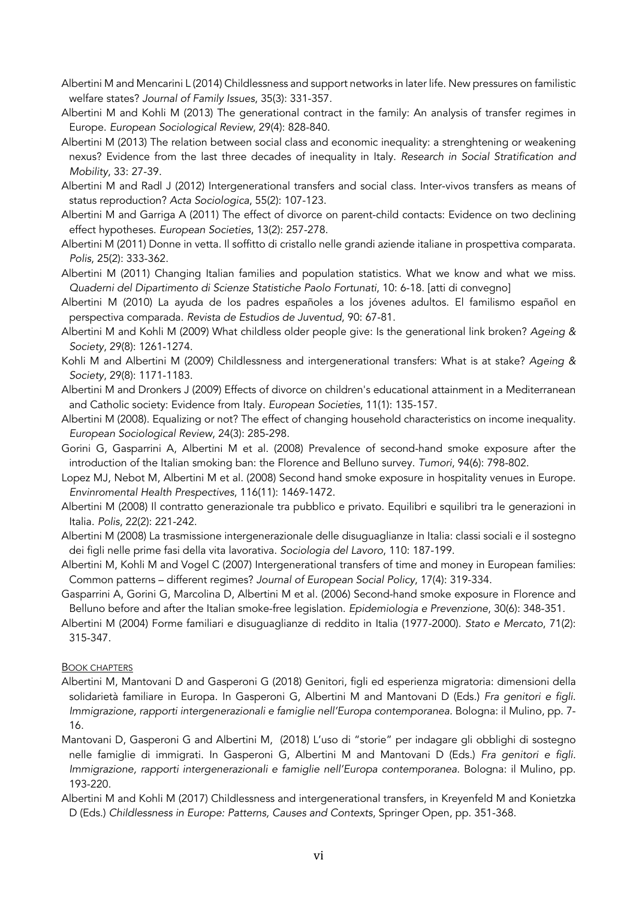- Albertini M and Mencarini L (2014) Childlessness and support networks in later life. New pressures on familistic welfare states? *Journal of Family Issues*, 35(3): 331-357.
- Albertini M and Kohli M (2013) The generational contract in the family: An analysis of transfer regimes in Europe. *European Sociological Review*, 29(4): 828-840.
- Albertini M (2013) The relation between social class and economic inequality: a strenghtening or weakening nexus? Evidence from the last three decades of inequality in Italy. *Research in Social Stratification and Mobility*, 33: 27-39.
- Albertini M and Radl J (2012) Intergenerational transfers and social class. Inter-vivos transfers as means of status reproduction? *Acta Sociologica*, 55(2): 107-123.
- Albertini M and Garriga A (2011) The effect of divorce on parent-child contacts: Evidence on two declining effect hypotheses. *European Societies*, 13(2): 257-278.
- Albertini M (2011) Donne in vetta. Il soffitto di cristallo nelle grandi aziende italiane in prospettiva comparata. *Polis*, 25(2): 333-362.
- Albertini M (2011) Changing Italian families and population statistics. What we know and what we miss. *Quaderni del Dipartimento di Scienze Statistiche Paolo Fortunati*, 10: 6-18. [atti di convegno]
- Albertini M (2010) La ayuda de los padres españoles a los jóvenes adultos. El familismo español en perspectiva comparada. *Revista de Estudios de Juventud*, 90: 67-81.
- Albertini M and Kohli M (2009) What childless older people give: Is the generational link broken? *Ageing & Society*, 29(8): 1261-1274.
- Kohli M and Albertini M (2009) Childlessness and intergenerational transfers: What is at stake? *Ageing & Society*, 29(8): 1171-1183.
- Albertini M and Dronkers J (2009) Effects of divorce on children's educational attainment in a Mediterranean and Catholic society: Evidence from Italy. *European Societies*, 11(1): 135-157.
- Albertini M (2008). Equalizing or not? The effect of changing household characteristics on income inequality. *European Sociological Review*, 24(3): 285-298.
- Gorini G, Gasparrini A, Albertini M et al. (2008) Prevalence of second-hand smoke exposure after the introduction of the Italian smoking ban: the Florence and Belluno survey. *Tumori*, 94(6): 798-802.
- Lopez MJ, Nebot M, Albertini M et al. (2008) Second hand smoke exposure in hospitality venues in Europe. *Envinromental Health Prespectives*, 116(11): 1469-1472.
- Albertini M (2008) Il contratto generazionale tra pubblico e privato. Equilibri e squilibri tra le generazioni in Italia. *Polis*, 22(2): 221-242.
- Albertini M (2008) La trasmissione intergenerazionale delle disuguaglianze in Italia: classi sociali e il sostegno dei figli nelle prime fasi della vita lavorativa. *Sociologia del Lavoro*, 110: 187-199.
- Albertini M, Kohli M and Vogel C (2007) Intergenerational transfers of time and money in European families: Common patterns – different regimes? *Journal of European Social Policy*, 17(4): 319-334.
- Gasparrini A, Gorini G, Marcolina D, Albertini M et al. (2006) Second-hand smoke exposure in Florence and Belluno before and after the Italian smoke-free legislation. *Epidemiologia e Prevenzione*, 30(6): 348-351.
- Albertini M (2004) Forme familiari e disuguaglianze di reddito in Italia (1977-2000). *Stato e Mercato*, 71(2): 315-347.

# BOOK CHAPTERS

- Albertini M, Mantovani D and Gasperoni G (2018) Genitori, figli ed esperienza migratoria: dimensioni della solidarietà familiare in Europa. In Gasperoni G, Albertini M and Mantovani D (Eds.) *Fra genitori e figli. Immigrazione, rapporti intergenerazionali e famiglie nell'Europa contemporanea*. Bologna: il Mulino, pp. 7- 16.
- Mantovani D, Gasperoni G and Albertini M, (2018) L'uso di "storie" per indagare gli obblighi di sostegno nelle famiglie di immigrati. In Gasperoni G, Albertini M and Mantovani D (Eds.) *Fra genitori e figli. Immigrazione, rapporti intergenerazionali e famiglie nell'Europa contemporanea*. Bologna: il Mulino, pp. 193-220.
- Albertini M and Kohli M (2017) Childlessness and intergenerational transfers, in Kreyenfeld M and Konietzka D (Eds.) *Childlessness in Europe: Patterns, Causes and Contexts*, Springer Open, pp. 351-368.